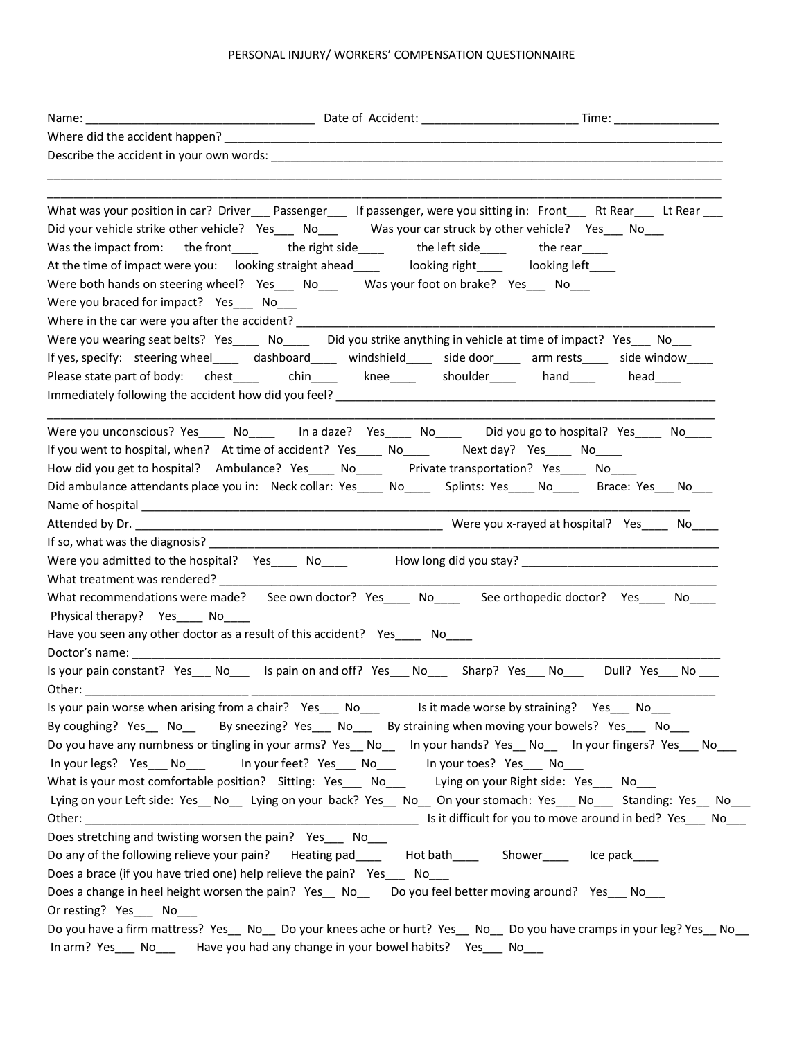## PERSONAL INJURY/ WORKERS' COMPENSATION QUESTIONNAIRE

| Name: and the set of the set of the set of the set of the set of the set of the set of the set of the set of the set of the set of the set of the set of the set of the set of the set of the set of the set of the set of the |                                                                       |                                                                                                                            |
|--------------------------------------------------------------------------------------------------------------------------------------------------------------------------------------------------------------------------------|-----------------------------------------------------------------------|----------------------------------------------------------------------------------------------------------------------------|
|                                                                                                                                                                                                                                |                                                                       |                                                                                                                            |
|                                                                                                                                                                                                                                |                                                                       |                                                                                                                            |
|                                                                                                                                                                                                                                |                                                                       |                                                                                                                            |
|                                                                                                                                                                                                                                |                                                                       | What was your position in car? Driver___ Passenger___ If passenger, were you sitting in: Front___ Rt Rear___ Lt Rear___    |
| Did your vehicle strike other vehicle? Yes____ No___ Was your car struck by other vehicle? Yes___ No___                                                                                                                        |                                                                       |                                                                                                                            |
| Was the impact from: the front_____ the right side____ the left side____ the rear____                                                                                                                                          |                                                                       |                                                                                                                            |
| At the time of impact were you: looking straight ahead_____ looking right_____ looking left____                                                                                                                                |                                                                       |                                                                                                                            |
| Were both hands on steering wheel? Yes___ No___ Was your foot on brake? Yes___ No___                                                                                                                                           |                                                                       |                                                                                                                            |
| Were you braced for impact? Yes ____ No____                                                                                                                                                                                    |                                                                       |                                                                                                                            |
| Where in the car were you after the accident? ___________                                                                                                                                                                      |                                                                       |                                                                                                                            |
| Were you wearing seat belts? Yes_____ No_____ Did you strike anything in vehicle at time of impact? Yes___ No___                                                                                                               |                                                                       |                                                                                                                            |
|                                                                                                                                                                                                                                |                                                                       | If yes, specify: steering wheel_____ dashboard____ windshield____ side door____ arm rests____ side window____              |
| Please state part of body: chest_____ chin____ knee____ shoulder____ hand____ head____                                                                                                                                         |                                                                       |                                                                                                                            |
|                                                                                                                                                                                                                                |                                                                       |                                                                                                                            |
|                                                                                                                                                                                                                                |                                                                       | Were you unconscious? Yes____ No____ In a daze? Yes____ No____ Did you go to hospital? Yes____ No____                      |
| If you went to hospital, when? At time of accident? Yes____ No____ Next day? Yes____ No____                                                                                                                                    |                                                                       |                                                                                                                            |
| How did you get to hospital? Ambulance? Yes____ No____ Private transportation? Yes____ No____                                                                                                                                  |                                                                       |                                                                                                                            |
|                                                                                                                                                                                                                                |                                                                       | Did ambulance attendants place you in: Neck collar: Yes____ No____ Splints: Yes____ No____ Brace: Yes___ No___             |
|                                                                                                                                                                                                                                |                                                                       |                                                                                                                            |
|                                                                                                                                                                                                                                |                                                                       |                                                                                                                            |
|                                                                                                                                                                                                                                |                                                                       |                                                                                                                            |
|                                                                                                                                                                                                                                |                                                                       | Were you admitted to the hospital? Yes____ No____ How long did you stay? ___________________________                       |
|                                                                                                                                                                                                                                |                                                                       |                                                                                                                            |
|                                                                                                                                                                                                                                |                                                                       | What recommendations were made? See own doctor? Yes____ No____ See orthopedic doctor? Yes____ No____                       |
| Physical therapy? Yes No                                                                                                                                                                                                       |                                                                       |                                                                                                                            |
| Have you seen any other doctor as a result of this accident? Yes____ No____                                                                                                                                                    |                                                                       |                                                                                                                            |
|                                                                                                                                                                                                                                |                                                                       |                                                                                                                            |
|                                                                                                                                                                                                                                |                                                                       | Is your pain constant? Yes___ No____ Is pain on and off? Yes___ No____ Sharp? Yes___ No____ Dull? Yes___ No ___            |
|                                                                                                                                                                                                                                |                                                                       |                                                                                                                            |
| Is your pain worse when arising from a chair? Yes___ No___ ls it made worse by straining? Yes___ No___                                                                                                                         |                                                                       |                                                                                                                            |
| By coughing? Yes No By sneezing? Yes No By straining when moving your bowels? Yes No                                                                                                                                           |                                                                       |                                                                                                                            |
|                                                                                                                                                                                                                                |                                                                       | Do you have any numbness or tingling in your arms? Yes No ln your hands? Yes No ln your fingers? Yes No                    |
| In your legs? Yes No                                                                                                                                                                                                           | In your feet? Yes___ No___ In your toes? Yes___ No___                 |                                                                                                                            |
| What is your most comfortable position? Sitting: Yes __ No__ Lying on your Right side: Yes __ No__                                                                                                                             |                                                                       |                                                                                                                            |
|                                                                                                                                                                                                                                |                                                                       | Lying on your Left side: Yes __ No___ Lying on your back? Yes __ No___ On your stomach: Yes ___ No ___ Standing: Yes __ No |
|                                                                                                                                                                                                                                |                                                                       |                                                                                                                            |
| Does stretching and twisting worsen the pain? Yes No                                                                                                                                                                           |                                                                       |                                                                                                                            |
| Do any of the following relieve your pain?                                                                                                                                                                                     | Heating pad________ Hot bath__________ Shower__________ Ice pack_____ |                                                                                                                            |
| Does a brace (if you have tried one) help relieve the pain? Yes___ No___                                                                                                                                                       |                                                                       |                                                                                                                            |
| Does a change in heel height worsen the pain? Yes No Doyou feel better moving around? Yes No                                                                                                                                   |                                                                       |                                                                                                                            |
| Or resting? Yes___ No___                                                                                                                                                                                                       |                                                                       |                                                                                                                            |
|                                                                                                                                                                                                                                |                                                                       | Do you have a firm mattress? Yes_ No_ Do your knees ache or hurt? Yes_ No_ Do you have cramps in your leg? Yes_ No_        |
| In arm? Yes ___ No _____ Have you had any change in your bowel habits? Yes ___ No ___                                                                                                                                          |                                                                       |                                                                                                                            |